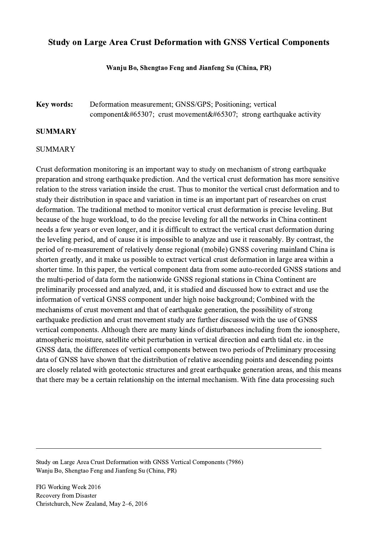# Study on Large Area Crust Deformation with GNSS Vertical Components

### Wanju Bo, Shengtao Feng and Jianfeng Su (China, PR)

## Key words: Deformation measurement; GNSS/GPS; Positioning; vertical component; crust movement; strong earthquake activity

### SUMMARY

#### SUMMARY

Crust deformation monitoring is an important way to study on mechanism of strong earthquake preparation and strong earthquake prediction. And the vertical crust deformation has more sensitive relation to the stress variation inside the crust. Thus to monitor the vertical crust deformation and to study their distribution in space and variation in time is an important part of researches on crust deformation. The traditional method to monitor vertical crust deformation is precise leveling. But because of the huge workload, to do the precise leveling for all the networks in China continent needs a few years or even longer, and it is difficult to extract the vertical crust deformation during the leveling period, and of cause it is impossible to analyze and use it reasonably. By contrast, the period of re-measurement of relatively dense regional (mobile) GNSS covering mainland China is shorten greatly, and it make us possible to extract vertical crust deformation in large area within a shorter time. In this paper, the vertical component data from some auto-recorded GNSS stations and the multi-period of data form the nationwide GNSS regional stations in China Continent are preliminarily processed and analyzed, and, it is studied and discussed how to extract and use the information of vertical GNSS component under high noise background; Combined with the mechanisms of crust movement and that of earthquake generation, the possibility of strong earthquake prediction and crust movement study are further discussed with the use of GNSS vertical components. Although there are many kinds of disturbances including from the ionosphere, atmospheric moisture, satellite orbit perturbation in vertical direction and earth tidal etc. in the GNSS data, the differences of vertical components between two periods of Preliminary processing data of GNSS have shown that the distribution of relative ascending points and descending points are closely related with geotectonic structures and great earthquake generation areas, and this means that there may be a certain relationship on the internal mechanism. With fine data processing such

Study on Large Area Crust Deformation with GNSS Vertical Components (7986) Wanju Bo, Shengtao Feng and Jianfeng Su (China, PR)

 $\mathcal{L}_\mathcal{L} = \{ \mathcal{L}_\mathcal{L} = \{ \mathcal{L}_\mathcal{L} = \{ \mathcal{L}_\mathcal{L} = \{ \mathcal{L}_\mathcal{L} = \{ \mathcal{L}_\mathcal{L} = \{ \mathcal{L}_\mathcal{L} = \{ \mathcal{L}_\mathcal{L} = \{ \mathcal{L}_\mathcal{L} = \{ \mathcal{L}_\mathcal{L} = \{ \mathcal{L}_\mathcal{L} = \{ \mathcal{L}_\mathcal{L} = \{ \mathcal{L}_\mathcal{L} = \{ \mathcal{L}_\mathcal{L} = \{ \mathcal{L}_\mathcal{$ 

FIG Working Week 2016 Recovery from Disaster Christchurch, New Zealand, May 2–6, 2016